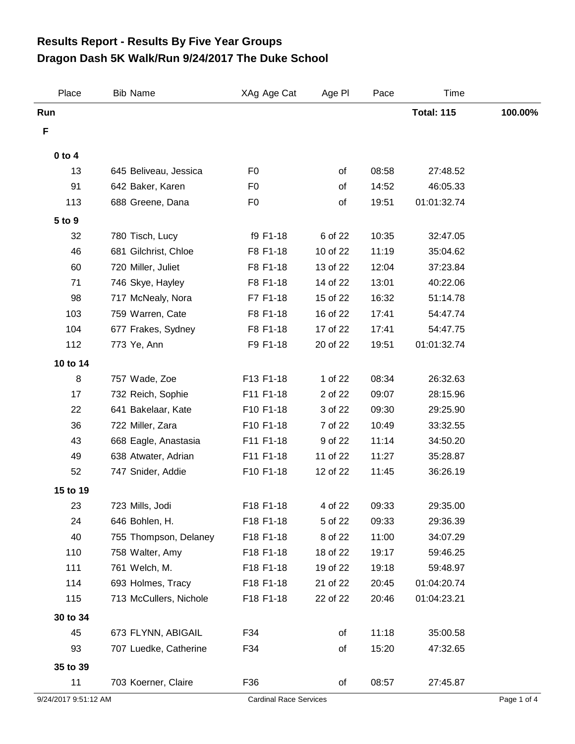## **Dragon Dash 5K Walk/Run 9/24/2017 The Duke School Results Report - Results By Five Year Groups**

| Place                | <b>Bib Name</b>        | XAg Age Cat                        | Age PI                        | Pace  | Time              |             |
|----------------------|------------------------|------------------------------------|-------------------------------|-------|-------------------|-------------|
| Run                  |                        |                                    |                               |       | <b>Total: 115</b> | 100.00%     |
| F                    |                        |                                    |                               |       |                   |             |
| $0$ to $4$           |                        |                                    |                               |       |                   |             |
| 13                   | 645 Beliveau, Jessica  | F <sub>0</sub>                     | of                            | 08:58 | 27:48.52          |             |
| 91                   | 642 Baker, Karen       | F <sub>0</sub>                     | of                            | 14:52 | 46:05.33          |             |
| 113                  | 688 Greene, Dana       | F <sub>0</sub>                     | of                            | 19:51 | 01:01:32.74       |             |
| 5 to 9               |                        |                                    |                               |       |                   |             |
| 32                   | 780 Tisch, Lucy        | f9 F1-18                           | 6 of 22                       | 10:35 | 32:47.05          |             |
| 46                   | 681 Gilchrist, Chloe   | F8 F1-18                           | 10 of 22                      | 11:19 | 35:04.62          |             |
| 60                   | 720 Miller, Juliet     | F8 F1-18                           | 13 of 22                      | 12:04 | 37:23.84          |             |
| 71                   | 746 Skye, Hayley       | F8 F1-18                           | 14 of 22                      | 13:01 | 40:22.06          |             |
| 98                   | 717 McNealy, Nora      | F7 F1-18                           | 15 of 22                      | 16:32 | 51:14.78          |             |
| 103                  | 759 Warren, Cate       | F8 F1-18                           | 16 of 22                      | 17:41 | 54:47.74          |             |
| 104                  | 677 Frakes, Sydney     | F8 F1-18                           | 17 of 22                      | 17:41 | 54:47.75          |             |
| 112                  | 773 Ye, Ann            | F9 F1-18                           | 20 of 22                      | 19:51 | 01:01:32.74       |             |
| 10 to 14             |                        |                                    |                               |       |                   |             |
| 8                    | 757 Wade, Zoe          | F13 F1-18                          | 1 of 22                       | 08:34 | 26:32.63          |             |
| 17                   | 732 Reich, Sophie      | F11 F1-18                          | 2 of 22                       | 09:07 | 28:15.96          |             |
| 22                   | 641 Bakelaar, Kate     | F10 F1-18                          | 3 of 22                       | 09:30 | 29:25.90          |             |
| 36                   | 722 Miller, Zara       | F10 F1-18                          | 7 of 22                       | 10:49 | 33:32.55          |             |
| 43                   | 668 Eagle, Anastasia   | F11 F1-18                          | 9 of 22                       | 11:14 | 34:50.20          |             |
| 49                   | 638 Atwater, Adrian    | F11 F1-18                          | 11 of 22                      | 11:27 | 35:28.87          |             |
| 52                   | 747 Snider, Addie      | F10 F1-18                          | 12 of 22                      | 11:45 | 36:26.19          |             |
| 15 to 19             |                        |                                    |                               |       |                   |             |
| 23                   | 723 Mills, Jodi        | F <sub>18</sub> F <sub>1</sub> -18 | 4 of 22                       | 09:33 | 29:35.00          |             |
| 24                   | 646 Bohlen, H.         | F18 F1-18                          | 5 of 22                       | 09:33 | 29:36.39          |             |
| 40                   | 755 Thompson, Delaney  | F18 F1-18                          | 8 of 22                       | 11:00 | 34:07.29          |             |
| 110                  | 758 Walter, Amy        | F18 F1-18                          | 18 of 22                      | 19:17 | 59:46.25          |             |
| 111                  | 761 Welch, M.          | F18 F1-18                          | 19 of 22                      | 19:18 | 59:48.97          |             |
| 114                  | 693 Holmes, Tracy      | F18 F1-18                          | 21 of 22                      | 20:45 | 01:04:20.74       |             |
| 115                  | 713 McCullers, Nichole | F18 F1-18                          | 22 of 22                      | 20:46 | 01:04:23.21       |             |
| 30 to 34             |                        |                                    |                               |       |                   |             |
| 45                   | 673 FLYNN, ABIGAIL     | F34                                | of                            | 11:18 | 35:00.58          |             |
| 93                   | 707 Luedke, Catherine  | F34                                | of                            | 15:20 | 47:32.65          |             |
| 35 to 39             |                        |                                    |                               |       |                   |             |
| 11                   | 703 Koerner, Claire    | F36                                | of                            | 08:57 | 27:45.87          |             |
| 9/24/2017 9:51:12 AM |                        |                                    | <b>Cardinal Race Services</b> |       |                   | Page 1 of 4 |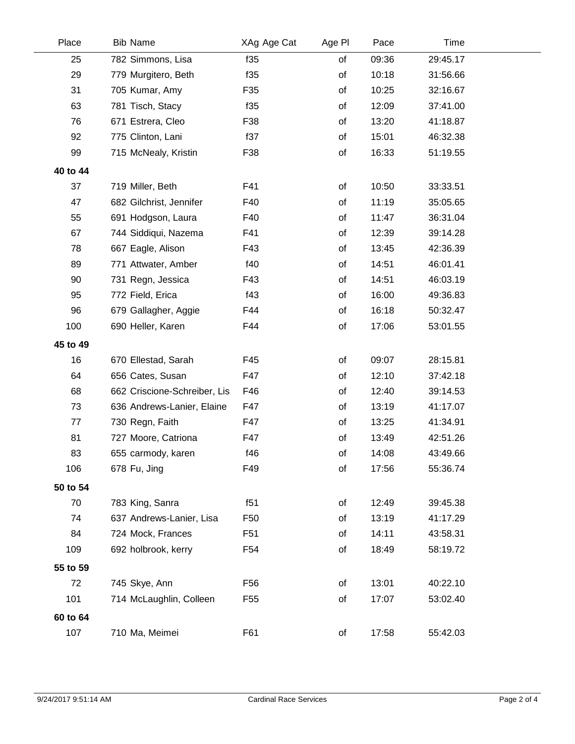| Place    | <b>Bib Name</b>              | XAg Age Cat     | Age PI | Pace  | Time     |  |
|----------|------------------------------|-----------------|--------|-------|----------|--|
| 25       | 782 Simmons, Lisa            | f35             | of     | 09:36 | 29:45.17 |  |
| 29       | 779 Murgitero, Beth          | f35             | of     | 10:18 | 31:56.66 |  |
| 31       | 705 Kumar, Amy               | F35             | of     | 10:25 | 32:16.67 |  |
| 63       | 781 Tisch, Stacy             | f35             | of     | 12:09 | 37:41.00 |  |
| 76       | 671 Estrera, Cleo            | F38             | of     | 13:20 | 41:18.87 |  |
| 92       | 775 Clinton, Lani            | f37             | of     | 15:01 | 46:32.38 |  |
| 99       | 715 McNealy, Kristin         | F38             | of     | 16:33 | 51:19.55 |  |
| 40 to 44 |                              |                 |        |       |          |  |
| 37       | 719 Miller, Beth             | F41             | of     | 10:50 | 33:33.51 |  |
| 47       | 682 Gilchrist, Jennifer      | F40             | of     | 11:19 | 35:05.65 |  |
| 55       | 691 Hodgson, Laura           | F40             | of     | 11:47 | 36:31.04 |  |
| 67       | 744 Siddiqui, Nazema         | F41             | of     | 12:39 | 39:14.28 |  |
| 78       | 667 Eagle, Alison            | F43             | of     | 13:45 | 42:36.39 |  |
| 89       | 771 Attwater, Amber          | f40             | of     | 14:51 | 46:01.41 |  |
| 90       | 731 Regn, Jessica            | F43             | of     | 14:51 | 46:03.19 |  |
| 95       | 772 Field, Erica             | f43             | of     | 16:00 | 49:36.83 |  |
| 96       | 679 Gallagher, Aggie         | F44             | of     | 16:18 | 50:32.47 |  |
| 100      | 690 Heller, Karen            | F44             | of     | 17:06 | 53:01.55 |  |
| 45 to 49 |                              |                 |        |       |          |  |
| 16       | 670 Ellestad, Sarah          | F45             | of     | 09:07 | 28:15.81 |  |
| 64       | 656 Cates, Susan             | F47             | of     | 12:10 | 37:42.18 |  |
| 68       | 662 Criscione-Schreiber, Lis | F46             | of     | 12:40 | 39:14.53 |  |
| 73       | 636 Andrews-Lanier, Elaine   | F47             | of     | 13:19 | 41:17.07 |  |
| 77       | 730 Regn, Faith              | F47             | of     | 13:25 | 41:34.91 |  |
| 81       | 727 Moore, Catriona          | F47             | of     | 13:49 | 42:51.26 |  |
| 83       | 655 carmody, karen           | f46             | of     | 14:08 | 43:49.66 |  |
| 106      | 678 Fu, Jing                 | F49             | of     | 17:56 | 55:36.74 |  |
| 50 to 54 |                              |                 |        |       |          |  |
| 70       | 783 King, Sanra              | f51             | of     | 12:49 | 39:45.38 |  |
| 74       | 637 Andrews-Lanier, Lisa     | F <sub>50</sub> | of     | 13:19 | 41:17.29 |  |
| 84       | 724 Mock, Frances            | F <sub>51</sub> | of     | 14:11 | 43:58.31 |  |
| 109      | 692 holbrook, kerry          | F <sub>54</sub> | of     | 18:49 | 58:19.72 |  |
| 55 to 59 |                              |                 |        |       |          |  |
| 72       | 745 Skye, Ann                | F56             | of     | 13:01 | 40:22.10 |  |
| 101      | 714 McLaughlin, Colleen      | F55             | of     | 17:07 | 53:02.40 |  |
| 60 to 64 |                              |                 |        |       |          |  |
| 107      | 710 Ma, Meimei               | F61             | of     | 17:58 | 55:42.03 |  |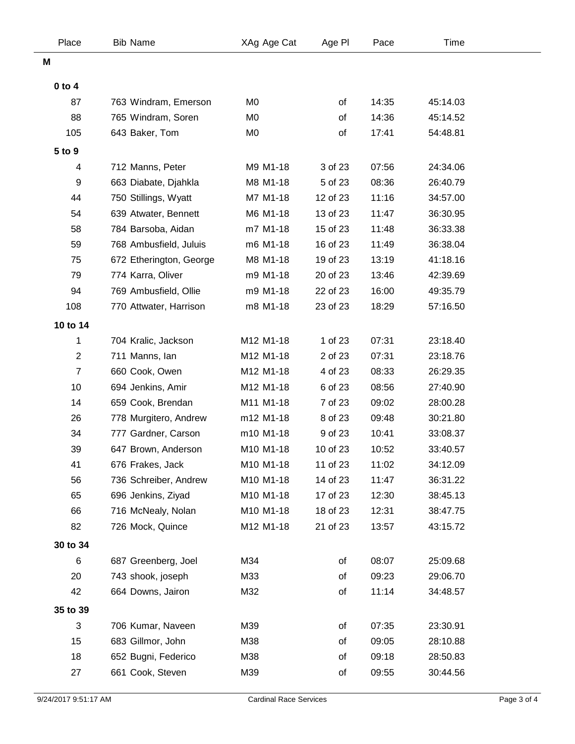| Place            | <b>Bib Name</b>         | XAg Age Cat    | Age PI   | Pace  | Time     |  |
|------------------|-------------------------|----------------|----------|-------|----------|--|
| M                |                         |                |          |       |          |  |
| $0$ to $4$       |                         |                |          |       |          |  |
| 87               | 763 Windram, Emerson    | M <sub>0</sub> | of       | 14:35 | 45:14.03 |  |
| 88               | 765 Windram, Soren      | M <sub>0</sub> | of       | 14:36 | 45:14.52 |  |
| 105              | 643 Baker, Tom          | M <sub>0</sub> | of       | 17:41 | 54:48.81 |  |
| 5 to 9           |                         |                |          |       |          |  |
| 4                | 712 Manns, Peter        | M9 M1-18       | 3 of 23  | 07:56 | 24:34.06 |  |
| 9                | 663 Diabate, Djahkla    | M8 M1-18       | 5 of 23  | 08:36 | 26:40.79 |  |
| 44               | 750 Stillings, Wyatt    | M7 M1-18       | 12 of 23 | 11:16 | 34:57.00 |  |
| 54               | 639 Atwater, Bennett    | M6 M1-18       | 13 of 23 | 11:47 | 36:30.95 |  |
| 58               | 784 Barsoba, Aidan      | m7 M1-18       | 15 of 23 | 11:48 | 36:33.38 |  |
| 59               | 768 Ambusfield, Juluis  | m6 M1-18       | 16 of 23 | 11:49 | 36:38.04 |  |
| 75               | 672 Etherington, George | M8 M1-18       | 19 of 23 | 13:19 | 41:18.16 |  |
| 79               | 774 Karra, Oliver       | m9 M1-18       | 20 of 23 | 13:46 | 42:39.69 |  |
| 94               | 769 Ambusfield, Ollie   | m9 M1-18       | 22 of 23 | 16:00 | 49:35.79 |  |
| 108              | 770 Attwater, Harrison  | m8 M1-18       | 23 of 23 | 18:29 | 57:16.50 |  |
| 10 to 14         |                         |                |          |       |          |  |
| 1                | 704 Kralic, Jackson     | M12 M1-18      | 1 of 23  | 07:31 | 23:18.40 |  |
| $\overline{2}$   | 711 Manns, Ian          | M12 M1-18      | 2 of 23  | 07:31 | 23:18.76 |  |
| $\boldsymbol{7}$ | 660 Cook, Owen          | M12 M1-18      | 4 of 23  | 08:33 | 26:29.35 |  |
| 10               | 694 Jenkins, Amir       | M12 M1-18      | 6 of 23  | 08:56 | 27:40.90 |  |
| 14               | 659 Cook, Brendan       | M11 M1-18      | 7 of 23  | 09:02 | 28:00.28 |  |
| 26               | 778 Murgitero, Andrew   | m12 M1-18      | 8 of 23  | 09:48 | 30:21.80 |  |
| 34               | 777 Gardner, Carson     | m10 M1-18      | 9 of 23  | 10:41 | 33:08.37 |  |
| 39               | 647 Brown, Anderson     | M10 M1-18      | 10 of 23 | 10:52 | 33:40.57 |  |
| 41               | 676 Frakes, Jack        | M10 M1-18      | 11 of 23 | 11:02 | 34:12.09 |  |
| 56               | 736 Schreiber, Andrew   | M10 M1-18      | 14 of 23 | 11:47 | 36:31.22 |  |
| 65               | 696 Jenkins, Ziyad      | M10 M1-18      | 17 of 23 | 12:30 | 38:45.13 |  |
| 66               | 716 McNealy, Nolan      | M10 M1-18      | 18 of 23 | 12:31 | 38:47.75 |  |
| 82               | 726 Mock, Quince        | M12 M1-18      | 21 of 23 | 13:57 | 43:15.72 |  |
| 30 to 34         |                         |                |          |       |          |  |
| 6                | 687 Greenberg, Joel     | M34            | of       | 08:07 | 25:09.68 |  |
| 20               | 743 shook, joseph       | M33            | of       | 09:23 | 29:06.70 |  |
| 42               | 664 Downs, Jairon       | M32            | of       | 11:14 | 34:48.57 |  |
| 35 to 39         |                         |                |          |       |          |  |
| 3                | 706 Kumar, Naveen       | M39            | of       | 07:35 | 23:30.91 |  |
| 15               | 683 Gillmor, John       | M38            | οf       | 09:05 | 28:10.88 |  |
| 18               | 652 Bugni, Federico     | M38            | of       | 09:18 | 28:50.83 |  |
| 27               | 661 Cook, Steven        | M39            | of       | 09:55 | 30:44.56 |  |